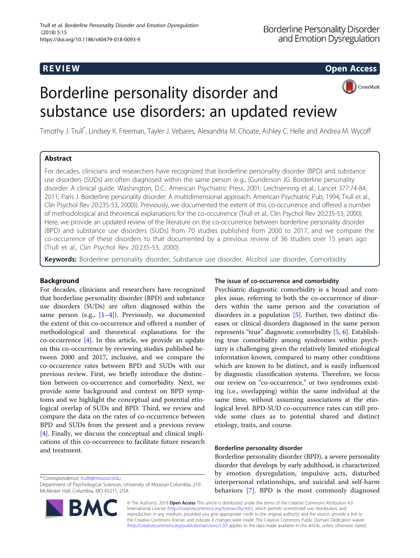**REVIEW CONSTRUCTION CONSTRUCTION CONSTRUCTS** 

CrossMark

# Borderline personality disorder and substance use disorders: an updated review

Timothy J. Trull\* , Lindsey K. Freeman, Tayler J. Vebares, Alexandria M. Choate, Ashley C. Helle and Andrea M. Wycoff

### Abstract

For decades, clinicians and researchers have recognized that borderline personality disorder (BPD) and substance use disorders (SUDs) are often diagnosed within the same person (e.g., (Gunderson JG. Borderline personality disorder: A clinical guide. Washington, D.C.: American Psychiatric Press, 2001; Leichsenring et al., Lancet 377:74-84, 2011; Paris J. Borderline personality disorder: A multidimensional approach. American Psychiatric Pub, 1994; Trull et al., Clin Psychol Rev 20:235-53, 2000)). Previously, we documented the extent of this co-occurrence and offered a number of methodological and theoretical explanations for the co-occurrence (Trull et al., Clin Psychol Rev 20:235-53, 2000). Here, we provide an updated review of the literature on the co-occurrence between borderline personality disorder (BPD) and substance use disorders (SUDs) from 70 studies published from 2000 to 2017, and we compare the co-occurrence of these disorders to that documented by a previous review of 36 studies over 15 years ago (Trull et al., Clin Psychol Rev 20:235-53, 2000).

Keywords: Borderline personality disorder, Substance use disorder, Alcohol use disorder, Comorbidity

### Background

For decades, clinicians and researchers have recognized that borderline personality disorder (BPD) and substance use disorders (SUDs) are often diagnosed within the same person (e.g.,  $[1-4]$  $[1-4]$  $[1-4]$  $[1-4]$  $[1-4]$ ). Previously, we documented the extent of this co-occurrence and offered a number of methodological and theoretical explanations for the co-occurrence [\[4](#page-9-0)]. In this article, we provide an update on this co-occurrence by reviewing studies published between 2000 and 2017, inclusive, and we compare the co-occurrence rates between BPD and SUDs with our previous review. First, we briefly introduce the distinction between co-occurrence and comorbidity. Next, we provide some background and context on BPD symptoms and we highlight the conceptual and potential etiological overlap of SUDs and BPD. Third, we review and compare the data on the rates of co-occurrence between BPD and SUDs from the present and a previous review [[4\]](#page-9-0). Finally, we discuss the conceptual and clinical implications of this co-occurrence to facilitate future research and treatment.

\* Correspondence: [trullt@missouri.edu](mailto:trullt@missouri.edu)

Department of Psychological Sciences, University of Missouri-Columbia, 210 McAlester Hall, Columbia, MO 65211, USA



#### The issue of co-occurrence and comorbidity

Psychiatric diagnostic comorbidity is a broad and complex issue, referring to both the co-occurrence of disorders within the same person and the covariation of disorders in a population [[5\]](#page-9-0). Further, two distinct diseases or clinical disorders diagnosed in the same person represents "true" diagnostic comorbidity [[5,](#page-9-0) [6\]](#page-9-0). Establishing true comorbidity among syndromes within psychiatry is challenging given the relatively limited etiological information known, compared to many other conditions which are known to be distinct, and is easily influenced by diagnostic classification systems. Therefore, we focus our review on "co-occurrence," or two syndromes existing (i.e., overlapping) within the same individual at the same time, without assuming associations at the etiological level. BPD-SUD co-occurrence rates can still provide some clues as to potential shared and distinct etiology, traits, and course.

#### Borderline personality disorder

Borderline personality disorder (BPD), a severe personality disorder that develops by early adulthood, is characterized by emotion dysregulation, impulsive acts, disturbed interpersonal relationships, and suicidal and self-harm behaviors [[7\]](#page-9-0). BPD is the most commonly diagnosed

© The Author(s). 2018 Open Access This article is distributed under the terms of the Creative Commons Attribution 4.0 International License [\(http://creativecommons.org/licenses/by/4.0/](http://creativecommons.org/licenses/by/4.0/)), which permits unrestricted use, distribution, and reproduction in any medium, provided you give appropriate credit to the original author(s) and the source, provide a link to the Creative Commons license, and indicate if changes were made. The Creative Commons Public Domain Dedication waiver [\(http://creativecommons.org/publicdomain/zero/1.0/](http://creativecommons.org/publicdomain/zero/1.0/)) applies to the data made available in this article, unless otherwise stated.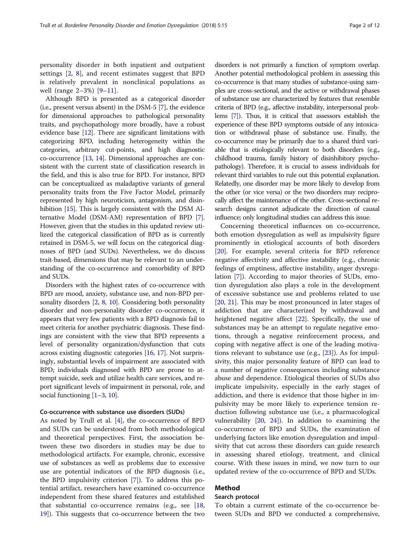personality disorder in both inpatient and outpatient settings [\[2](#page-9-0), [8\]](#page-9-0), and recent estimates suggest that BPD is relatively prevalent in nonclinical populations as well (range 2–3%) [[9](#page-9-0)–[11\]](#page-9-0).

Although BPD is presented as a categorical disorder (i.e., present versus absent) in the DSM-5 [[7\]](#page-9-0), the evidence for dimensional approaches to pathological personality traits, and psychopathology more broadly, have a robust evidence base [[12](#page-9-0)]. There are significant limitations with categorizing BPD, including heterogeneity within the categories, arbitrary cut-points, and high diagnostic co-occurrence [\[13](#page-9-0), [14](#page-9-0)]. Dimensional approaches are consistent with the current state of classification research in the field, and this is also true for BPD. For instance, BPD can be conceptualized as maladaptive variants of general personality traits from the Five Factor Model, primarily represented by high neuroticism, antagonism, and disinhibition [\[15\]](#page-9-0). This is largely consistent with the DSM Alternative Model (DSM-AM) representation of BPD [[7](#page-9-0)]. However, given that the studies in this updated review utilized the categorical classification of BPD as is currently retained in DSM-5, we will focus on the categorical diagnoses of BPD (and SUDs). Nevertheless, we do discuss trait-based, dimensions that may be relevant to an understanding of the co-occurrence and comorbidity of BPD and SUDs.

Disorders with the highest rates of co-occurrence with BPD are mood, anxiety, substance use, and non-BPD personality disorders  $[2, 8, 10]$  $[2, 8, 10]$  $[2, 8, 10]$  $[2, 8, 10]$  $[2, 8, 10]$  $[2, 8, 10]$ . Considering both personality disorder and non-personality disorder co-occurrence, it appears that very few patients with a BPD diagnosis fail to meet criteria for another psychiatric diagnosis. These findings are consistent with the view that BPD represents a level of personality organization/dysfunction that cuts across existing diagnostic categories [[16,](#page-9-0) [17](#page-9-0)]. Not surprisingly, substantial levels of impairment are associated with BPD; individuals diagnosed with BPD are prone to attempt suicide, seek and utilize health care services, and report significant levels of impairment in personal, role, and social functioning [\[1](#page-9-0)–[3,](#page-9-0) [10](#page-9-0)].

#### Co-occurrence with substance use disorders (SUDs)

As noted by Trull et al. [[4\]](#page-9-0), the co-occurrence of BPD and SUDs can be understood from both methodological and theoretical perspectives. First, the association between these two disorders in studies may be due to methodological artifacts. For example, chronic, excessive use of substances as well as problems due to excessive use are potential indicators of the BPD diagnosis (i.e., the BPD impulsivity criterion [[7\]](#page-9-0)). To address this potential artifact, researchers have examined co-occurrence independent from these shared features and established that substantial co-occurrence remains (e.g., see  $[18,$  $[18,$  $[18,$ [19\]](#page-9-0)). This suggests that co-occurrence between the two

disorders is not primarily a function of symptom overlap. Another potential methodological problem in assessing this co-occurrence is that many studies of substance-using samples are cross-sectional, and the active or withdrawal phases of substance use are characterized by features that resemble criteria of BPD (e.g., affective instability, interpersonal problems [\[7](#page-9-0)]). Thus, it is critical that assessors establish the experience of these BPD symptoms outside of any intoxication or withdrawal phase of substance use. Finally, the co-occurrence may be primarily due to a shared third variable that is etiologically relevant to both disorders (e.g., childhood trauma, family history of disinhibitory psychopathology). Therefore, it is crucial to assess individuals for relevant third variables to rule out this potential explanation. Relatedly, one disorder may be more likely to develop from the other (or vice versa) or the two disorders may reciprocally affect the maintenance of the other. Cross-sectional research designs cannot adjudicate the direction of causal influence; only longitudinal studies can address this issue.

Concerning theoretical influences on co-occurrence, both emotion dysregulation as well as impulsivity figure prominently in etiological accounts of both disorders [[20\]](#page-10-0). For example, several criteria for BPD reference negative affectivity and affective instability (e.g., chronic feelings of emptiness, affective instability, anger dysregulation [\[7](#page-9-0)]). According to major theories of SUDs, emotion dysregulation also plays a role in the development of excessive substance use and problems related to use [[20,](#page-10-0) [21\]](#page-10-0). This may be most pronounced in later stages of addiction that are characterized by withdrawal and heightened negative affect [[22](#page-10-0)]. Specifically, the use of substances may be an attempt to regulate negative emotions, through a negative reinforcement process, and coping with negative affect is one of the leading motivations relevant to substance use (e.g.,  $[23]$  $[23]$  $[23]$ ). As for impulsivity, this major personality feature of BPD can lead to a number of negative consequences including substance abuse and dependence. Etiological theories of SUDs also implicate impulsivity, especially in the early stages of addiction, and there is evidence that those higher in impulsivity may be more likely to experience tension reduction following substance use (i.e., a pharmacological vulnerability [[20,](#page-10-0) [24\]](#page-10-0)). In addition to examining the co-occurrence of BPD and SUDs, the examination of underlying factors like emotion dysregulation and impulsivity that cut across these disorders can guide research in assessing shared etiology, treatment, and clinical course. With these issues in mind, we now turn to our updated review of the co-occurrence of BPD and SUDs.

#### Method

### Search protocol

To obtain a current estimate of the co-occurrence between SUDs and BPD we conducted a comprehensive,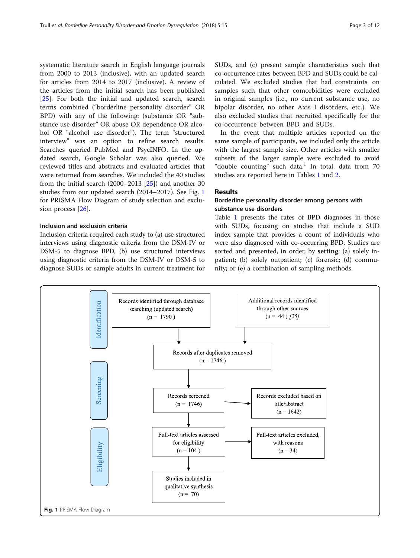systematic literature search in English language journals from 2000 to 2013 (inclusive), with an updated search for articles from 2014 to 2017 (inclusive). A review of the articles from the initial search has been published [[25\]](#page-10-0). For both the initial and updated search, search terms combined ("borderline personality disorder" OR BPD) with any of the following: (substance OR "substance use disorder" OR abuse OR dependence OR alcohol OR "alcohol use disorder"). The term "structured interview" was an option to refine search results. Searches queried PubMed and PsycINFO. In the updated search, Google Scholar was also queried. We reviewed titles and abstracts and evaluated articles that were returned from searches. We included the 40 studies from the initial search (2000–2013 [[25](#page-10-0)]) and another 30 studies from our updated search (2014–2017). See Fig. 1 for PRISMA Flow Diagram of study selection and exclusion process [[26\]](#page-10-0).

### Inclusion and exclusion criteria

Inclusion criteria required each study to (a) use structured interviews using diagnostic criteria from the DSM-IV or DSM-5 to diagnose BPD, (b) use structured interviews using diagnostic criteria from the DSM-IV or DSM-5 to diagnose SUDs or sample adults in current treatment for SUDs, and (c) present sample characteristics such that co-occurrence rates between BPD and SUDs could be calculated. We excluded studies that had constraints on samples such that other comorbidities were excluded in original samples (i.e., no current substance use, no bipolar disorder, no other Axis I disorders, etc.). We also excluded studies that recruited specifically for the co-occurrence between BPD and SUDs.

In the event that multiple articles reported on the same sample of participants, we included only the article with the largest sample size. Other articles with smaller subsets of the larger sample were excluded to avoid "double counting" such data.<sup>1</sup> In total, data from 70 studies are reported here in Tables [1](#page-3-0) and [2](#page-5-0).

### Results

### Borderline personality disorder among persons with substance use disorders

Table [1](#page-3-0) presents the rates of BPD diagnoses in those with SUDs, focusing on studies that include a SUD index sample that provides a count of individuals who were also diagnosed with co-occurring BPD. Studies are sorted and presented, in order, by setting: (a) solely inpatient; (b) solely outpatient; (c) forensic; (d) community; or (e) a combination of sampling methods.

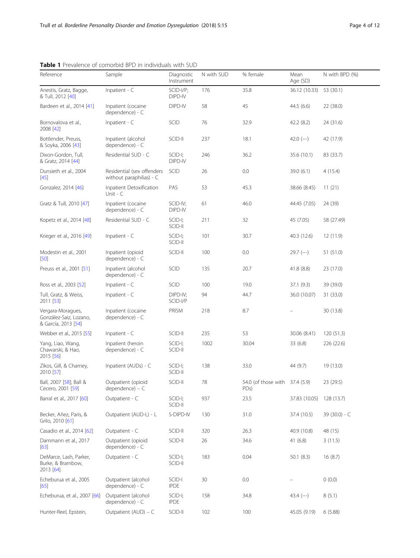|                                                                    | <b>I</b> LICYCLE OF COLLOLOR DED THEIRIVIQUALS WILL JUD |                          |            |                                                   |                  |                |
|--------------------------------------------------------------------|---------------------------------------------------------|--------------------------|------------|---------------------------------------------------|------------------|----------------|
| Reference                                                          | Sample                                                  | Diagnostic<br>Instrument | N with SUD | % female                                          | Mean<br>Age (SD) | N with BPD (%) |
| Anestis, Gratz, Bagge,<br>& Tull, 2012 [40]                        | Inpatient - C                                           | SCID-I/P;<br>DIPD-IV     | 176        | 35.8                                              | 36.12 (10.33)    | 53 (30.1)      |
| Bardeen et al., 2014 [41]                                          | Inpatient (cocaine<br>dependence) - C                   | DIPD-IV                  | 58         | 45                                                | 44.5 (6.6)       | 22 (38.0)      |
| Bornovalova et al.,<br>2008 [42]                                   | Inpatient - C                                           | SCID                     | 76         | 32.9                                              | 42.2(8.2)        | 24 (31.6)      |
| Bottlender, Preuss,<br>& Soyka, 2006 [43]                          | Inpatient (alcohol<br>dependence) - C                   | SCID-II                  | 237        | 18.1                                              | $42.0$ (--)      | 42 (17.9)      |
| Dixon-Gordon, Tull,<br>& Gratz, 2014 [44]                          | Residential SUD - C                                     | SCID-I;<br>DIPD-IV       | 246        | 36.2                                              | 35.6 (10.1)      | 83 (33.7)      |
| Dunsieth et al., 2004<br>$[45]$                                    | Residential (sex offenders<br>without paraphilias) - C  | <b>SCID</b>              | 26         | 0.0                                               | 39.0 (6.1)       | 4(15.4)        |
| Gonzalez, 2014 [46]                                                | Inpatient Detoxification<br>Unit - $C$                  | PAS                      | 53         | 45.3                                              | 38.66 (8.45)     | 11(21)         |
| Gratz & Tull, 2010 [47]                                            | Inpatient (cocaine<br>dependence) - C                   | SCID-IV;<br>DIPD-IV      | 61         | 46.0                                              | 44.45 (7.05)     | 24 (39)        |
| Kopetz et al., 2014 [48]                                           | Residential SUD - C                                     | SCID-I;<br>SCID-II       | 211        | 32                                                | 45 (7.05)        | 58 (27.49)     |
| Krieger et al., 2016 [49]                                          | Inpatient - $C$                                         | SCID-I;<br>SCID-II       | 101        | 30.7                                              | 40.3 (12.6)      | 12(11.9)       |
| Modestin et al., 2001<br>[50]                                      | Inpatient (opioid<br>dependence) - C                    | SCID-II                  | 100        | 0.0                                               | $29.7 (-)$       | 51 (51.0)      |
| Preuss et al., 2001 [51]                                           | Inpatient (alcohol<br>dependence) - C                   | <b>SCID</b>              | 135        | 20.7                                              | 41.8(8.8)        | 23 (17.0)      |
| Ross et al., 2003 [52]                                             | Inpatient - $C$                                         | SCID                     | 100        | 19.0                                              | 37.1(9.3)        | 39 (39.0)      |
| Tull, Gratz, & Weiss,<br>2011 [53]                                 | Inpatient - $C$                                         | DIPD-IV;<br>SCID-I/P     | 94         | 44.7                                              | 36.0 (10.07)     | 31 (33.0)      |
| Vergara-Moragues,<br>González-Saiz, Lozano,<br>& García, 2013 [54] | Inpatient (cocaine<br>dependence) - C                   | PRISM                    | 218        | 8.7                                               |                  | 30 (13.8)      |
| Webber et al., 2015 [55]                                           | Inpatient - $C$                                         | SCID-II                  | 235        | 53                                                | 30.06 (8.41)     | 120(51.3)      |
| Yang, Liao, Wang,<br>Chawarski, & Hao,<br>2015 [56]                | Inpatient (heroin<br>dependence) - C                    | SCID-I;<br>SCID-II       | 1002       | 30.04                                             | 33 (6.8)         | 226 (22.6)     |
| Zikos, Gill, & Charney,<br>2010 [57]                               | Inpatient (AUDs) - C                                    | SCID-I;<br>SCID-II       | 138        | 33.0                                              | 44 (9.7)         | 19 (13.0)      |
| Ball, 2007 [58]; Ball &<br>Cecero, 2001 [59]                       | Outpatient (opioid<br>dependence) – C                   | SCID-II                  | 78         | 54.0 (of those with 37.4 (5.9)<br>PD <sub>s</sub> |                  | 23 (29.5)      |
| Barral et al., 2017 [60]                                           | Outpatient - C                                          | SCID-I;<br>SCID-II       | 937        | 23.5                                              | 37.83 (10.05)    | 128 (13.7)     |
| Becker, Añez, Paris, &<br>Grilo, 2010 [61]                         | Outpatient (AUD-L) - L                                  | S-DIPD-IV                | 130        | 31.0                                              | 37.4 (10.5)      | 39 (30.0) - C  |
| Casadio et al., 2014 [62]                                          | Outpatient - C                                          | SCID-II                  | 320        | 26.3                                              | 40.9 (10.8)      | 48 (15)        |
| Dammann et al., 2017<br>[63]                                       | Outpatient (opioid<br>dependence) - C                   | SCID-II                  | 26         | 34.6                                              | 41(6.8)          | 3(11.5)        |
| DeMarce, Lash, Parker,<br>Burke, & Brambow,<br>2013 [64]           | Outpatient - C                                          | SCID-I;<br>SCID-II       | 183        | 0.04                                              | 50.1(8.3)        | 16(8.7)        |
| Echeburua et al., 2005<br>[65]                                     | Outpatient (alcohol<br>dependence) - C                  | SCID-I<br><b>IPDE</b>    | 30         | 0.0                                               |                  | 0(0.0)         |
| Echeburua, et al., 2007 [66]                                       | Outpatient (alcohol<br>dependence) - C                  | SCID-I;<br><b>IPDE</b>   | 158        | 34.8                                              | $43.4 (-)$       | 8(5.1)         |
| Hunter-Reel, Epstein,                                              | Outpatient (AUD) - C                                    | SCID-II                  | 102        | 100                                               | 45.05 (9.19)     | 6(5.88)        |

#### <span id="page-3-0"></span>Table 1 Prevalence of comorbid BPD in individuals with SUD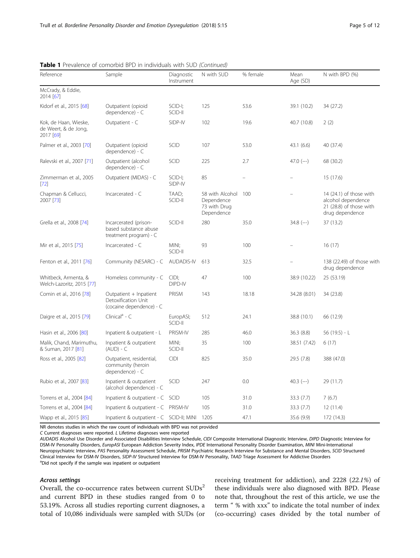| Reference                                                  | Sample                                                                    | Diagnostic<br>Instrument | N with SUD                                                  | % female | Mean<br>Age (SD) | N with BPD (%)                                                                              |
|------------------------------------------------------------|---------------------------------------------------------------------------|--------------------------|-------------------------------------------------------------|----------|------------------|---------------------------------------------------------------------------------------------|
| McCrady, & Eddie,<br>2014 [67]                             |                                                                           |                          |                                                             |          |                  |                                                                                             |
| Kidorf et al., 2015 [68]                                   | Outpatient (opioid<br>dependence) - C                                     | SCID-I;<br>SCID-II       | 125                                                         | 53.6     | 39.1 (10.2)      | 34 (27.2)                                                                                   |
| Kok, de Haan, Wieske,<br>de Weert, & de Jong,<br>2017 [69] | Outpatient - C                                                            | SIDP-IV                  | 102                                                         | 19.6     | 40.7 (10.8)      | 2(2)                                                                                        |
| Palmer et al., 2003 [70]                                   | Outpatient (opioid<br>dependence) - C                                     | <b>SCID</b>              | 107                                                         | 53.0     | 43.1(6.6)        | 40 (37.4)                                                                                   |
| Ralevski et al., 2007 [71]                                 | Outpatient (alcohol<br>dependence) - C                                    | SCID                     | 225                                                         | 2.7      | $47.0$ (--)      | 68 (30.2)                                                                                   |
| Zimmerman et al., 2005<br>$[72]$                           | Outpatient (MIDAS) - C                                                    | SCID-I;<br>SIDP-IV       | 85                                                          |          |                  | 15 (17.6)                                                                                   |
| Chapman & Cellucci,<br>2007 [73]                           | Incarcerated - C                                                          | TAAD:<br>SCID-II         | 58 with Alcohol<br>Dependence<br>73 with Drug<br>Dependence | 100      |                  | 14 (24.1) of those with<br>alcohol dependence<br>21 (28.8) of those with<br>drug dependence |
| Grella et al., 2008 [74]                                   | Incarcerated (prison-<br>based substance abuse<br>treatment program) - C  | SCID-II                  | 280                                                         | 35.0     | $34.8$ (--)      | 37 (13.2)                                                                                   |
| Mir et al., 2015 [75]                                      | Incarcerated - C                                                          | MINI;<br>SCID-II         | 93                                                          | 100      |                  | 16(17)                                                                                      |
| Fenton et al., 2011 [76]                                   | Community (NESARC) - C                                                    | <b>AUDADIS-IV</b>        | 613                                                         | 32.5     |                  | 138 (22.49) of those with<br>drug dependence                                                |
| Whitbeck, Armenta, &<br>Welch-Lazoritz, 2015 [77]          | Homeless community - C                                                    | CIDI;<br>DIPD-IV         | 47                                                          | 100      | 38.9 (10.22)     | 25 (53.19)                                                                                  |
| Comin et al., 2016 [78]                                    | Outpatient + Inpatient<br>Detoxification Unit<br>(cocaine dependence) - C | PRISM                    | 143                                                         | 18.18    | 34.28 (8.01)     | 34 (23.8)                                                                                   |
| Daigre et al., 2015 [79]                                   | Clinical <sup>a</sup> - C                                                 | EuropASI;<br>SCID-II     | 512                                                         | 24.1     | 38.8 (10.1)      | 66 (12.9)                                                                                   |
| Hasin et al., 2006 [80]                                    | Inpatient & outpatient - L                                                | PRISM-IV                 | 285                                                         | 46.0     | 36.3(8.8)        | 56 (19.5) - L                                                                               |
| Malik, Chand, Marimuthu,<br>& Suman, 2017 [81]             | Inpatient & outpatient<br>$(AUD) - C$                                     | MINI;<br>SCID-II         | 35                                                          | 100      | 38.51 (7.42)     | 6(17)                                                                                       |
| Ross et al., 2005 [82]                                     | Outpatient, residential,<br>community (heroin<br>dependence) - C          | <b>CIDI</b>              | 825                                                         | 35.0     | 29.5 (7.8)       | 388 (47.0)                                                                                  |
| Rubio et al., 2007 [83]                                    | Inpatient & outpatient<br>(alcohol dependence) - C                        | SCID                     | 247                                                         | 0.0      | $40.3$ (--)      | 29 (11.7)                                                                                   |
| Torrens et al., 2004 [84]                                  | Inpatient & outpatient - C SCID                                           |                          | 105                                                         | 31.0     | 33.3 (7.7)       | 7(6.7)                                                                                      |
| Torrens et al., 2004 [84]                                  | Inpatient & outpatient - C                                                | <b>PRISM-IV</b>          | 105                                                         | 31.0     | 33.3 (7.7)       | 12(11.4)                                                                                    |
| Wapp et al., 2015 [85]                                     | Inpatient & outpatient - C SCID-II; MINI                                  |                          | 1205                                                        | 47.1     | 35.6 (9.9)       | 172 (14.3)                                                                                  |

|  | Table 1 Prevalence of comorbid BPD in individuals with SUD (Continued) |  |  |  |  |
|--|------------------------------------------------------------------------|--|--|--|--|
|  |                                                                        |  |  |  |  |

NR denotes studies in which the raw count of individuals with BPD was not provided

C Current diagnoses were reported. L Lifetime diagnoses were reported

AUDADIS Alcohol Use Disorder and Associated Disabilities Interview Schedule, CIDI Composite International Diagnostic Interview, DIPD Diagnostic Interview for DSM-IV Personality Disorders, EuropASI European Addiction Severity Index, IPDE International Personality Disorder Examination, MINI Mini-International Neuropsychiatric Interview, PAS Personality Assessment Schedule, PRISM Psychiatric Research Interview for Substance and Mental Disorders, SCID Structured Clinical Interview for DSM-IV Disorders, SIDP-IV Structured Interview for DSM-IV Personality, TAAD Triage Assessment for Addictive Disorders <sup>a</sup> <sup>a</sup>Did not specify if the sample was inpatient or outpatient

Overall, the co-occurrence rates between current SUDs<sup>2</sup> and current BPD in these studies ranged from 0 to 53.19%. Across all studies reporting current diagnoses, a total of 10,086 individuals were sampled with SUDs (or receiving treatment for addiction), and 2228 (22.1%) of these individuals were also diagnosed with BPD. Please note that, throughout the rest of this article, we use the term " % with xxx" to indicate the total number of index (co-occurring) cases divided by the total number of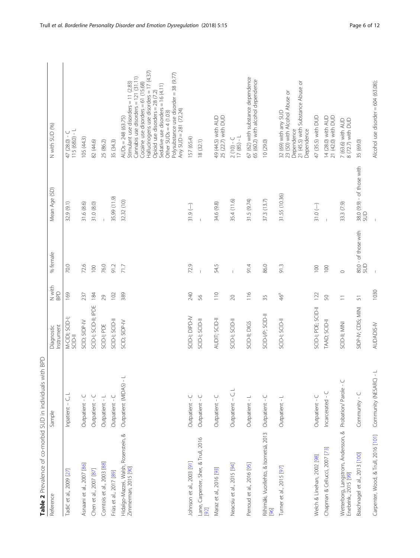<span id="page-5-0"></span>

| Table 2 Prevalence of co-morbid SUD in individuals with BPD  |                          |                                   |                |                             |                                   |                                                                                                                                                                                                                                                                                                                                                                  |
|--------------------------------------------------------------|--------------------------|-----------------------------------|----------------|-----------------------------|-----------------------------------|------------------------------------------------------------------------------------------------------------------------------------------------------------------------------------------------------------------------------------------------------------------------------------------------------------------------------------------------------------------|
| Reference                                                    | Sample                   | Instrument<br>Diagnostic          | N with<br>BPD  | % female                    | Mean Age (SD)                     | N with SUD (%)                                                                                                                                                                                                                                                                                                                                                   |
| Tadić et al., 2009 [27]                                      | U<br>Inpatient -         | M-CIDI; SCID-I;<br><b>II-diDS</b> | 169            | 70.0                        | 32.9 (9.1)                        | $115(68.0) - L$<br>47 (28.0) - C                                                                                                                                                                                                                                                                                                                                 |
| Asnaani et al., 2007 [86]                                    | Outpatient - C           | SCID; SIDP-IV                     | 237            | 72.6                        | 31.6(8.6)                         | 105(44.3)                                                                                                                                                                                                                                                                                                                                                        |
| Chen et al., 2007 [87]                                       | Outpatient - C           | SCID-I; SCID-II; IPDE             | 184            | 100                         | 31.0(8.0)                         | 82 (44.6)                                                                                                                                                                                                                                                                                                                                                        |
| Comtois et al., 2003 [88]                                    | Outpatient - L           | SCID-I; PDE                       | 29             | 76.0                        |                                   | 25 (86.2)                                                                                                                                                                                                                                                                                                                                                        |
| Frias et al., 2017 [89]                                      | Outpatient - C           | SCID-I; SCID-II                   | 102            | 91.2                        | 35.99 (11.9)                      | 35 (34.3)                                                                                                                                                                                                                                                                                                                                                        |
| Hidalgo-Mazzei, Walsh, Rosenstein, &<br>Zimmerman, 2015 [90] | Outpatient (MIDAS) -     | SCID; SIDP-IV                     | 389            | 717                         | 32.32 (10)                        | Hallucinogens use disorders = 17 (4.37)<br>Polysubstance use disorder = 38 (9.77)<br>Cannabis use disorders = 121 (31.11)<br>Stimulant use disorders $= 11$ (2.83)<br>Cocaine use disorders = $61$ (15.68)<br>Sedative use disorders = 16 (4.11)<br>Opioid use disorders = 28 (7.2)<br>Any $SUB = 281 (72.24)$<br>Other SUDs $= 4$ (1.03)<br>$AUDs = 248(63.75)$ |
| Johnson et al., 2003 [91]                                    | Outpatient - C           | SCID-I; DIPD-IV                   | 240            | 72.9                        | $31.9(-)$                         | 157 (65.4)                                                                                                                                                                                                                                                                                                                                                       |
| Lane, Carpenter, Sher, & Trull, 2016<br>[66]                 | Outpatient - C           | SCID-I; SCID-II                   | 95             |                             |                                   | 18 (32.1)                                                                                                                                                                                                                                                                                                                                                        |
| Maraz et al., 2016 [93]                                      | Outpatient - C           | AUDIT; SCID-II                    | $\frac{1}{10}$ | 54.5                        | 34.6 (9.8)                        | 25 (22.7) with DUD<br>49 (44.5) with AUD                                                                                                                                                                                                                                                                                                                         |
| Neacsiu et al., 2015 [94]                                    | Outpatient - C, L        | SCID-1; SCID-11                   | $\gtrsim$      |                             | 35.4 (11.6)                       | $17(85) - L$<br>$2(10) - C$                                                                                                                                                                                                                                                                                                                                      |
| Perroud et al., 2016 [95]                                    | Outpatient - L           | SCID-II; DIGS                     | 116            | $-61.4$                     | 31.5 (9.74)                       | 67 (62) with substance dependence<br>65 (60.2) with alcohol dependence                                                                                                                                                                                                                                                                                           |
| Riihimäki, Vuorilehto, & Isometsä, 2013<br>[96]              | Outpatient - C           | SCID-I/P; SCID-II                 | 35             | 86.0                        | 37.3 (13.7)                       | 10 (29.0)                                                                                                                                                                                                                                                                                                                                                        |
| Turner et al., 2015 [97]                                     | Outpatient - L           | SCID-I; SCID-II                   | 46ª            | 91.3                        | 31.55 (10.36)                     | 21 (45.5) with Substance Abuse or<br>32 (69) with any SUD<br>23 (50) with Alcohol Abuse or<br>Dependence<br>Dependence                                                                                                                                                                                                                                           |
| Welch & Linehan, 2002 [98]                                   | Outpatient - C           | SCID-I; PDE; SCID-II              | 122            | 100                         | $31.0(-)$                         | 47 (35.5) with DUD                                                                                                                                                                                                                                                                                                                                               |
| Chapman & Cellucci, 2007 [73]                                | Incarcerated - C         | TAAD; SCID-II                     | 50             | 100                         |                                   | 14 (28.0) with AUD<br>21 (42.0) with DUD                                                                                                                                                                                                                                                                                                                         |
| Wetterborg, Langstrom, Andersson, &<br>Enebrink., 2015 [99]  | Probation/Parole - C     | SCID-II; MINI                     | $\equiv$       | $\circ$                     | 33.3 (7.9)                        | 7 (63.6) with AUD<br>8 (72.7) with DUD                                                                                                                                                                                                                                                                                                                           |
| Baschnagel et al., 2013 [100]                                | Community - C            | SIDP-IV; CDIS; MINI               | 57             | 80.0 - of those with<br>SUD | 38.0 (9.9) - of those with<br>SUD | 35 (69.0)                                                                                                                                                                                                                                                                                                                                                        |
| Carpenter, Wood, & Trull, 2016 [101]                         | ÷,<br>Community (NESARC) | AUDADIS-IV                        | 1030           |                             |                                   | Alcohol use disorder = 604 (63.08);                                                                                                                                                                                                                                                                                                                              |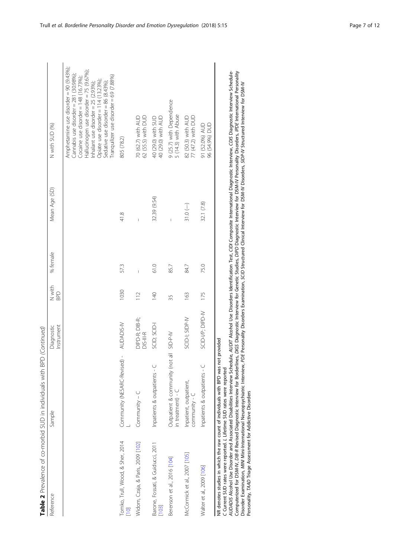| change in the state of the state of the state of the state of the state of the state of the state of the state of the state of the state of the state of the state of the state of the state of the state of the state of the                                                                                                                                                                                                                 |                                                               |                             |                      |          |               |                                                                                                                                                                                                                                                                                                                                                                                                                                                |
|-----------------------------------------------------------------------------------------------------------------------------------------------------------------------------------------------------------------------------------------------------------------------------------------------------------------------------------------------------------------------------------------------------------------------------------------------|---------------------------------------------------------------|-----------------------------|----------------------|----------|---------------|------------------------------------------------------------------------------------------------------------------------------------------------------------------------------------------------------------------------------------------------------------------------------------------------------------------------------------------------------------------------------------------------------------------------------------------------|
| Reference                                                                                                                                                                                                                                                                                                                                                                                                                                     | Sample                                                        | nstrument<br>Diagnostic     | N with<br><b>GdG</b> | % female | Mean Age (SD) | N with SUD (%)                                                                                                                                                                                                                                                                                                                                                                                                                                 |
|                                                                                                                                                                                                                                                                                                                                                                                                                                               |                                                               |                             |                      |          |               | Amphetamine use disorder = 90 (9.43%);<br>Hallucinogen use disorder = 75 (9.67%)<br>Cannabis use disorder = 281 (30.98%);<br>Tranquilizer use disorder = 69 (7.88%)<br>Cocaine use disorder = $148$ (16.73%);<br>Opiate use disorder $= 114$ (13.23%),<br>Sedative use disorder = 86 (8.43%);<br>Inhalant use disorder = 25 (2.93%);                                                                                                           |
| Tomko, Trull, Wood, & Sher, 2014                                                                                                                                                                                                                                                                                                                                                                                                              | Community (NESARC-Revised) - AUDADIS-IV                       |                             | 1030                 | 573      | 41.8          | 805 (78.2)                                                                                                                                                                                                                                                                                                                                                                                                                                     |
| Widom, Czaja, & Paris, 2009 [102]                                                                                                                                                                                                                                                                                                                                                                                                             | $Commonunity - C$                                             | DIPD-R; DIB-R;<br>DIS-III-R | 112                  | Ĭ.       |               | 70 (62.7) with AUD<br>62 (55.5) with DUD                                                                                                                                                                                                                                                                                                                                                                                                       |
| Barone, Fossati, & Guiducci, 2011<br>[103]                                                                                                                                                                                                                                                                                                                                                                                                    | Inpatients & outpatients - C                                  | SCID; SCID-I                | 140                  | 61.0     | 32.39 (9.54)  | 40 (29.0) with AUD<br>40 (29.0) with SUD                                                                                                                                                                                                                                                                                                                                                                                                       |
| Berenson et al., 2016 [104]                                                                                                                                                                                                                                                                                                                                                                                                                   | Outpatient & community (not all SID-P-IV<br>in treatment) - C |                             | 35                   | 85.7     |               | 9 (25.7) with Dependence<br>5 (14.3) with Abuse                                                                                                                                                                                                                                                                                                                                                                                                |
| McCormick et al., 2007 [105]                                                                                                                                                                                                                                                                                                                                                                                                                  | Inpatient, outpatient,<br>community - C                       | SCID-I; SIDP-W              | 163                  | 84.7     | $31.0(-)$     | 77 (47.2) with DUD<br>82 (50.3) with AUD                                                                                                                                                                                                                                                                                                                                                                                                       |
| Walter et al., 2009 [106]                                                                                                                                                                                                                                                                                                                                                                                                                     | Inpatients & outpatients - C                                  | SCID-I/P; DIPD-IV           | 175                  | 75.0     | 32.1 (7.8)    | 96 (54.9%) DUD<br>91 (52.0%) AUD                                                                                                                                                                                                                                                                                                                                                                                                               |
| Disorder Examination, MMM Mini-International Neuropsychiatric Interview, PDE Personality Disorders Examination, SCD Structured Clinical Interview for DSM-IV Disorders, SIDP-IV Structured Interview for DSM-IV<br>NR denotes studies in which the raw count of individuals with BPD was not provided<br>C Current SUD rates were reported. L Lifetime SUD rates were reported<br>Personality, TAAD Triage Assessment for Addictive Disorders |                                                               |                             |                      |          |               | AUDAD/S Alcohol Use Disorder and Associated Disabilities Interview Schedule, AUDIT Alcohol Use Disorders Identification Test, CID/ Composite International Diagnostic Interview, CD/S Diagnostic Interview Schedule-<br>Computerized for DSM-IV, DIB-R Revised Diagnostic Interview for Sorderlines, Di65 Diagnostic Interview for Genetic Studies, DIPD Diagnostic Interview for DSM-IV Personality Disorders, IPDE International Personality |

Table 2 Prevalence of co-morbid SUD in individuals with BPD (Continued) **Table 2** Prevalence of co-morbid SUD in individuals with BPD (Continued)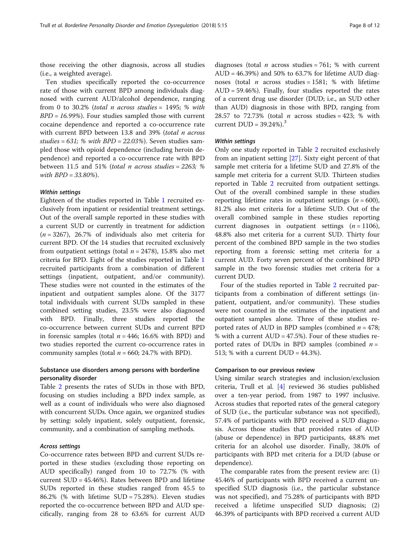those receiving the other diagnosis, across all studies (i.e., a weighted average).

Ten studies specifically reported the co-occurrence rate of those with current BPD among individuals diagnosed with current AUD/alcohol dependence, ranging from 0 to 30.2% (total  $n$  across studies = 1495; % with  $BPD = 16.99\%$ ). Four studies sampled those with current cocaine dependence and reported a co-occurrence rate with current BPD between 13.8 and 39% (total n across studies =  $631$ ; % with  $BPD = 22.03$ %). Seven studies sampled those with opioid dependence (including heroin dependence) and reported a co-occurrence rate with BPD between 11.5 and 51% (total *n* across studies = 2263; % with  $BPD = 33.80\%$ ).

Eighteen of the studies reported in Table [1](#page-3-0) recruited exclusively from inpatient or residential treatment settings. Out of the overall sample reported in these studies with a current SUD or currently in treatment for addiction  $(n = 3267)$ , 26.7% of individuals also met criteria for current BPD. Of the 14 studies that recruited exclusively from outpatient settings (total  $n = 2478$ ), 15.8% also met criteria for BPD. Eight of the studies reported in Table [1](#page-3-0) recruited participants from a combination of different settings (inpatient, outpatient, and/or community). These studies were not counted in the estimates of the inpatient and outpatient samples alone. Of the 3177 total individuals with current SUDs sampled in these combined setting studies, 23.5% were also diagnosed with BPD. Finally, three studies reported the co-occurrence between current SUDs and current BPD in forensic samples (total  $n = 446$ ; 16.6% with BPD) and two studies reported the current co-occurrence rates in community samples (total  $n = 660$ ; 24.7% with BPD).

#### Substance use disorders among persons with borderline personality disorder

Table [2](#page-5-0) presents the rates of SUDs in those with BPD, focusing on studies including a BPD index sample, as well as a count of individuals who were also diagnosed with concurrent SUDs. Once again, we organized studies by setting: solely inpatient, solely outpatient, forensic, community, and a combination of sampling methods.

Co-occurrence rates between BPD and current SUDs reported in these studies (excluding those reporting on AUD specifically) ranged from 10 to 72.7% (% with current SUD = 45.46%). Rates between BPD and lifetime SUDs reported in these studies ranged from 45.5 to 86.2% (% with lifetime SUD = 75.28%). Eleven studies reported the co-occurrence between BPD and AUD specifically, ranging from 28 to 63.6% for current AUD

diagnoses (total *n* across studies = 761; % with current AUD = 46.39%) and 50% to 63.7% for lifetime AUD diagnoses (total *n* across studies = 1581; % with lifetime AUD = 59.46%). Finally, four studies reported the rates of a current drug use disorder (DUD; i.e., an SUD other than AUD) diagnosis in those with BPD, ranging from 28.57 to 72.73% (total  $n$  across studies = 423; % with current  $DUD = 39.24\%$ ).<sup>3</sup>

Only one study reported in Table [2](#page-5-0) recruited exclusively from an inpatient setting [\[27](#page-10-0)]. Sixty eight percent of that sample met criteria for a lifetime SUD and 27.8% of the sample met criteria for a current SUD. Thirteen studies reported in Table [2](#page-5-0) recruited from outpatient settings. Out of the overall combined sample in these studies reporting lifetime rates in outpatient settings  $(n = 600)$ , 81.2% also met criteria for a lifetime SUD. Out of the overall combined sample in these studies reporting current diagnoses in outpatient settings  $(n = 1106)$ , 48.8% also met criteria for a current SUD. Thirty four percent of the combined BPD sample in the two studies reporting from a forensic setting met criteria for a current AUD. Forty seven percent of the combined BPD sample in the two forensic studies met criteria for a current DUD.

Four of the studies reported in Table [2](#page-5-0) recruited participants from a combination of different settings (inpatient, outpatient, and/or community). These studies were not counted in the estimates of the inpatient and outpatient samples alone. Three of these studies reported rates of AUD in BPD samples (combined  $n = 478$ ; % with a current  $AUD = 47.5%$ ). Four of these studies reported rates of DUDs in BPD samples (combined  $n =$ 513; % with a current DUD = 44.3%).

#### Comparison to our previous review

Using similar search strategies and inclusion/exclusion criteria, Trull et al. [\[4](#page-9-0)] reviewed 36 studies published over a ten-year period, from 1987 to 1997 inclusive. Across studies that reported rates of the general category of SUD (i.e., the particular substance was not specified), 57.4% of participants with BPD received a SUD diagnosis. Across those studies that provided rates of AUD (abuse or dependence) in BPD participants, 48.8% met criteria for an alcohol use disorder. Finally, 38.0% of participants with BPD met criteria for a DUD (abuse or dependence).

The comparable rates from the present review are: (1) 45.46% of participants with BPD received a current unspecified SUD diagnosis (i.e., the particular substance was not specified), and 75.28% of participants with BPD received a lifetime unspecified SUD diagnosis; (2) 46.39% of participants with BPD received a current AUD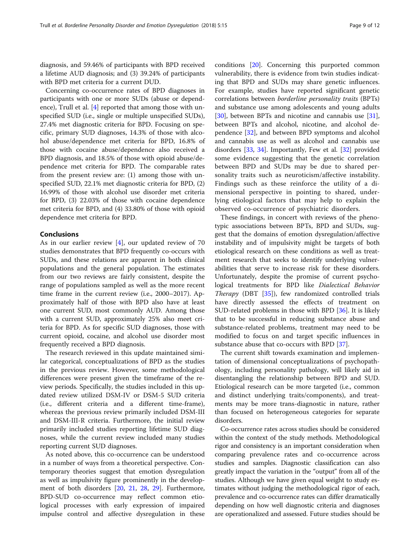diagnosis, and 59.46% of participants with BPD received a lifetime AUD diagnosis; and (3) 39.24% of participants with BPD met criteria for a current DUD.

Concerning co-occurrence rates of BPD diagnoses in participants with one or more SUDs (abuse or dependence), Trull et al. [\[4](#page-9-0)] reported that among those with unspecified SUD (i.e., single or multiple unspecified SUDs), 27.4% met diagnostic criteria for BPD. Focusing on specific, primary SUD diagnoses, 14.3% of those with alcohol abuse/dependence met criteria for BPD, 16.8% of those with cocaine abuse/dependence also received a BPD diagnosis, and 18.5% of those with opioid abuse/dependence met criteria for BPD. The comparable rates from the present review are: (1) among those with unspecified SUD, 22.1% met diagnostic criteria for BPD, (2) 16.99% of those with alcohol use disorder met criteria for BPD, (3) 22.03% of those with cocaine dependence met criteria for BPD, and (4) 33.80% of those with opioid dependence met criteria for BPD.

#### Conclusions

As in our earlier review [[4\]](#page-9-0), our updated review of 70 studies demonstrates that BPD frequently co-occurs with SUDs, and these relations are apparent in both clinical populations and the general population. The estimates from our two reviews are fairly consistent, despite the range of populations sampled as well as the more recent time frame in the current review (i.e., 2000–2017). Approximately half of those with BPD also have at least one current SUD, most commonly AUD. Among those with a current SUD, approximately 25% also meet criteria for BPD. As for specific SUD diagnoses, those with current opioid, cocaine, and alcohol use disorder most frequently received a BPD diagnosis.

The research reviewed in this update maintained similar categorical, conceptualizations of BPD as the studies in the previous review. However, some methodological differences were present given the timeframe of the review periods. Specifically, the studies included in this updated review utilized DSM-IV or DSM-5 SUD criteria (i.e., different criteria and a different time-frame), whereas the previous review primarily included DSM-III and DSM-III-R criteria. Furthermore, the initial review primarily included studies reporting lifetime SUD diagnoses, while the current review included many studies reporting current SUD diagnoses.

As noted above, this co-occurrence can be understood in a number of ways from a theoretical perspective. Contemporary theories suggest that emotion dysregulation as well as impulsivity figure prominently in the development of both disorders [\[20](#page-10-0), [21](#page-10-0), [28](#page-10-0), [29](#page-10-0)]. Furthermore, BPD-SUD co-occurrence may reflect common etiological processes with early expression of impaired impulse control and affective dysregulation in these conditions [\[20](#page-10-0)]. Concerning this purported common vulnerability, there is evidence from twin studies indicating that BPD and SUDs may share genetic influences. For example, studies have reported significant genetic correlations between borderline personality traits (BPTs) and substance use among adolescents and young adults [[30\]](#page-10-0), between BPTs and nicotine and cannabis use [\[31](#page-10-0)], between BPTs and alcohol, nicotine, and alcohol dependence [\[32\]](#page-10-0), and between BPD symptoms and alcohol and cannabis use as well as alcohol and cannabis use disorders [\[33,](#page-10-0) [34\]](#page-10-0). Importantly, Few et al. [[32\]](#page-10-0) provided some evidence suggesting that the genetic correlation between BPD and SUDs may be due to shared personality traits such as neuroticism/affective instability. Findings such as these reinforce the utility of a dimensional perspective in pointing to shared, underlying etiological factors that may help to explain the observed co-occurrence of psychiatric disorders.

These findings, in concert with reviews of the phenotypic associations between BPTs, BPD and SUDs, suggest that the domains of emotion dysregulation/affective instability and of impulsivity might be targets of both etiological research on these conditions as well as treatment research that seeks to identify underlying vulnerabilities that serve to increase risk for these disorders. Unfortunately, despite the promise of current psychological treatments for BPD like Dialectical Behavior Therapy (DBT [[35\]](#page-10-0)), few randomized controlled trials have directly assessed the effects of treatment on SUD-related problems in those with BPD [\[36](#page-10-0)]. It is likely that to be successful in reducing substance abuse and substance-related problems, treatment may need to be modified to focus on and target specific influences in substance abuse that co-occurs with BPD [[37](#page-10-0)].

The current shift towards examination and implementation of dimensional conceptualizations of psychopathology, including personality pathology, will likely aid in disentangling the relationship between BPD and SUD. Etiological research can be more targeted (i.e., common and distinct underlying traits/components), and treatments may be more trans-diagnostic in nature, rather than focused on heterogeneous categories for separate disorders.

Co-occurrence rates across studies should be considered within the context of the study methods. Methodological rigor and consistency is an important consideration when comparing prevalence rates and co-occurrence across studies and samples. Diagnostic classification can also greatly impact the variation in the "output" from all of the studies. Although we have given equal weight to study estimates without judging the methodological rigor of each, prevalence and co-occurrence rates can differ dramatically depending on how well diagnostic criteria and diagnoses are operationalized and assessed. Future studies should be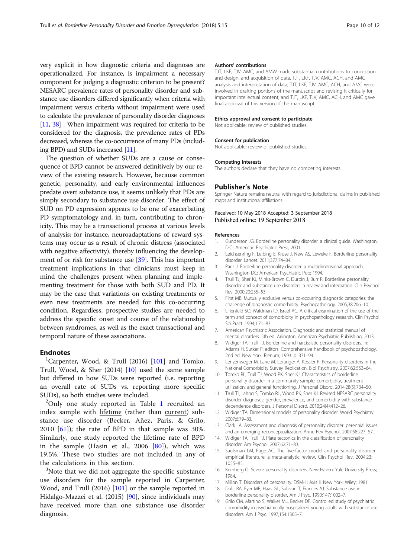<span id="page-9-0"></span>very explicit in how diagnostic criteria and diagnoses are operationalized. For instance, is impairment a necessary component for judging a diagnostic criterion to be present? NESARC prevalence rates of personality disorder and substance use disorders differed significantly when criteria with impairment versus criteria without impairment were used to calculate the prevalence of personality disorder diagnoses [11, [38\]](#page-10-0). When impairment was required for criteria to be considered for the diagnosis, the prevalence rates of PDs decreased, whereas the co-occurrence of many PDs (including BPD) and SUDs increased [11].

The question of whether SUDs are a cause or consequence of BPD cannot be answered definitively by our review of the existing research. However, because common genetic, personality, and early environmental influences predate overt substance use, it seems unlikely that PDs are simply secondary to substance use disorder. The effect of SUD on PD expression appears to be one of exacerbating PD symptomatology and, in turn, contributing to chronicity. This may be a transactional process at various levels of analysis; for instance, neuroadaptations of reward systems may occur as a result of chronic distress (associated with negative affectivity), thereby influencing the development of or risk for substance use [[39](#page-10-0)]. This has important treatment implications in that clinicians must keep in mind the challenges present when planning and implementing treatment for those with both SUD and PD. It may be the case that variations on existing treatments or even new treatments are needed for this co-occurring condition. Regardless, prospective studies are needed to address the specific onset and course of the relationship between syndromes, as well as the exact transactional and temporal nature of these associations.

#### **Endnotes**

<sup>1</sup>Carpenter, Wood, & Trull (2016) [[101\]](#page-11-0) and Tomko, Trull, Wood, & Sher (2014) [10] used the same sample but differed in how SUDs were reported (i.e. reporting an overall rate of SUDs vs. reporting more specific SUDs), so both studies were included.

 $^{2}$ Only one study reported in Table [1](#page-3-0) recruited an index sample with lifetime (rather than current) substance use disorder (Becker, Añez, Paris, & Grilo, 2010  $[61]$  $[61]$ ; the rate of BPD in that sample was 30%. Similarly, one study reported the lifetime rate of BPD in the sample (Hasin et al., 2006 [[80](#page-11-0)]), which was 19.5%. These two studies are not included in any of the calculations in this section.

<sup>3</sup>Note that we did not aggregate the specific substance use disorders for the sample reported in Carpenter, Wood, and Trull (2016) [[101](#page-11-0)] or the sample reported in Hidalgo-Mazzei et al. (2015) [\[90](#page-11-0)], since individuals may have received more than one substance use disorder diagnosis.

#### Authors' contributions

TJT, LKF, TJV, AMC, and AMW made substantial contributions to conception and design, and acquisition of data. TJT, LKF, TJV, AMC, ACH, and AMC analysis and interpretation of data; TJT, LKF, TJV, AMC, ACH, and AMC were involved in drafting portions of the manuscript and revising it critically for important intellectual content; and TJT, LKF, TJV, AMC, ACH, and AMC gave final approval of this version of the manuscript.

#### Ethics approval and consent to participate

Not applicable; review of published studies.

#### Consent for publication

Not applicable; review of published studies.

#### Competing interests

The authors declare that they have no competing interests.

#### Publisher's Note

Springer Nature remains neutral with regard to jurisdictional claims in published maps and institutional affiliations.

## Received: 10 May 2018 Accepted: 3 September 2018

#### References

- 1. Gunderson JG. Borderline personality disorder: a clinical guide. Washington, D.C.: American Psychiatric Press; 2001.
- 2. Leichsenring F, Leibing E, Kruse J, New AS, Leweke F. Borderline personality disorder. Lancet. 2011;377:74–84.
- 3. Paris J. Borderline personality disorder: a multidimensional approach. Washington DC: American Psychiatric Pub; 1994.
- 4. Trull TJ, Sher KJ, Minks-Brown C, Durbin J, Burr R. Borderline personality disorder and substance use disorders: a review and integration. Clin Psychol Rev. 2000;20:235–53.
- 5. First MB. Mutually exclusive versus co-occurring diagnostic categories: the challenge of diagnostic comorbidity. Psychopathology. 2005;38:206–10.
- 6. Lilienfeld SO, Waldman ID, Israel AC. A critical examination of the use of the term and concept of comorbidity in psychopathology research. Clin Psychol Sci Pract. 1994;1:71–83.
- 7. American Psychiatric Association. Diagnostic and statistical manual of mental disorders. 5th ed. Arlington: American Psychiatric Publishing; 2013.
- 8. Widiger TA, Trull TJ. Borderline and narcissistic personality disorders. In: Adams H, Sutker P, editors. Comprehensive handbook of psychopathology. 2nd ed. New York: Plenum; 1993. p. 371–94.
- 9. Lenzenweger M, Lane M, Loranger A, Kessler R. Personality disorders in the National Comorbidity Survey Replication. Biol Psychiatry. 2007;62:553–64.
- 10. Tomko RL, Trull TJ, Wood PK, Sher KJ. Characteristics of borderline personality disorder in a community sample: comorbidity, treatment utilization, and general functioning. J Personal Disord. 2014;28(5):734–50.
- 11. Trull TJ, Jahng S, Tomko RL, Wood PK, Sher KJ. Revised NESARC personality disorder diagnoses: gender, prevalence, and comorbidity with substance dependence disorders. J Personal Disord. 2010;24(4):412–26.
- 12. Widiger TA. Dimensional models of personality disorder. World Psychiatry. 2007;6:79–83.
- 13. Clark LA. Assessment and diagnosis of personality disorder: perennial issues and an emerging reconceptualization. Annu Rev Psychol. 2007;58:227–57.
- 14. Widiger TA, Trull TJ. Plate tectonics in the classification of personality disorder. Am Psychol. 2007;62:71–83.
- 15. Saulsman LM, Page AC. The five-factor model and personality disorder empirical literature: a meta-analytic review. Clin Psychol Rev. 2004;23: 1055–85.
- 16. Kernberg O. Severe personality disorders. New Haven: Yale University Press; 1984.
- 17. Millon T. Disorders of personality: DSM-III Axis II. New York: Wiley; 1981.
- 18. Dulit RA, Fyer MR, Haas GL, Sullivan T, Frances AJ. Substance use in borderline personality disorder. Am J Psyc. 1990;147:1002–7.
- 19. Grilo CM, Martino S, Walker ML, Becker DF. Controlled study of psychiatric comorbidity in psychiatrically hospitalized young adults with substance use disorders. Am J Psyc. 1997;154:1305–7.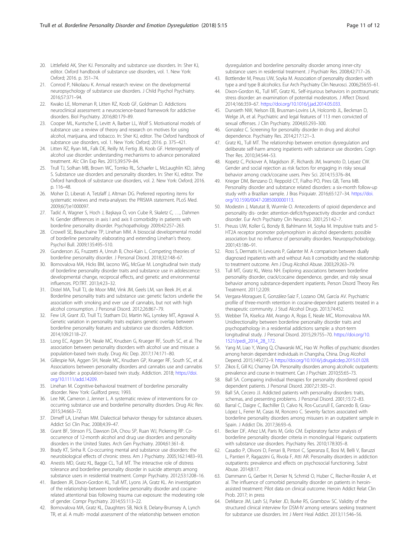- <span id="page-10-0"></span>20. Littlefield AK, Sher KJ. Personality and substance use disorders. In: Sher KJ, editor. Oxford handbook of substance use disorders, vol. 1. New York: Oxford; 2016. p. 351–74.
- 21. Conrod P, Nikolaou K. Annual research review: on the developmental neuropsychology of substance use disorders. J Child Psychol Psychiatry. 2016;57:371–94.
- 22. Kwako LE, Momenan R, Litten RZ, Koob GF, Goldman D. Addictions neuroclinical assessment: a neuroscience-based framework for addictive disorders. Biol Psychiatry. 2016;80:179–89.
- 23. Cooper ML, Kuntsche E, Levitt A, Barber LL, Wolf S. Motivational models of substance use: a review of theory and research on motives for using alcohol, marijuana, and tobacco. In: Sher KJ, editor. The Oxford handbook of substance use disorders, vol. 1. New York: Oxford; 2016. p. 375–421.
- 24. Litten RZ, Ryan ML, Falk DE, Reilly M, Fertig JB, Koob GF. Heterogeneity of alcohol use disorder: understanding mechanisms to advance personalized treatment. Alc Clin Exp Res. 2015;39:579–84.
- 25. Trull TJ, Solhan MB, Brown WC, Tomko RL, Schaefer L, McLaughlin KD, Jahng S. Substance use disorders and personality disorders. In: Sher KJ, editor. The Oxford handbook of substance use disorders, vol. 2. New York: Oxford; 2016. p. 116–48.
- 26. Moher D, Liberati A, Tetzlaff J, Altman DG. Preferred reporting items for systematic reviews and meta-analyses: the PRISMA statement. PLoS Med. 2009;6(7):e1000097.
- 27. Tadić A, Wagner S, Hoch J, Başkaya Ö, von Cube R, Skaletz C, …, Dahmen N. Gender differences in axis I and axis II comorbidity in patients with borderline personality disorder. Psychopathology 2009;42:257–263.
- 28. Crowell SE, Beauchaine TP, Linehan MM. A biosocial developmental model of borderline personality: elaborating and extending Linehan's theory. Psychol Bull. 2009;135:495–510.
- 29. Gunderson JG, Fruzzetti A, Unruh B, Choi-Kain L. Competing theories of borderline personality disorder. J Personal Disord. 2018;32:148–67.
- 30. Bornovalova MA, Hicks BM, Iacono WG, McGue M. Longitudinal twin study of borderline personality disorder traits and substance use in adolescence: developmental change, reciprocal effects, and genetic and environmental influences. PD:TRT. 2013;4:23–32.
- 31. Distel MA, Trull TJ, de Moor MM, Vink JM, Geels LM, van Beek JH, et al. Borderline personality traits and substance use: genetic factors underlie the association with smoking and ever use of cannabis, but not with high alcohol consumption. J Personal Disord. 2012;26:867–79.
- 32. Few LR, Grant JD, Trull TJ, Statham DJ, Martin NG, Lynskey MT, Agrawal A. Genetic variation in personality traits explains genetic overlap between borderline personality features and substance use disorders. Addiction. 2014;109:2118–27.
- 33. Long EC, Aggen SH, Neale MC, Knudsen G, Krueger RF, South SC, et al. The association between personality disorders with alcohol use and misuse: a population-based twin study. Drug Alc Dep. 2017;174:171–80.
- 34. Gillespie NA, Aggen SH, Neale MC, Knudsen GP, Krueger RF, South SC, et al. Associations between personality disorders and cannabis use and cannabis use disorder: a population-based twin study. Addiction. 2018; [https://doi.](https://doi.org/10.1111/add.14209) [org/10.1111/add.14209](https://doi.org/10.1111/add.14209).
- 35. Linehan M. Cognitive-behavioral treatment of borderline personality disorder. New York: Guilford press; 1993.
- 36. Lee NK, Cameron J, Jenner L. A systematic review of interventions for cooccurring substance use and borderline personality disorders. Drug Alc Rev. 2015;34:663–72.
- 37. Dimeff LA, Linehan MM. Dialectical behavior therapy for substance abusers. Addict Sci Clin Prac. 2008;4:39–47.
- 38. Grant BF, Stinson FS, Dawson DA, Chou SP, Ruan WJ, Pickering RP. Cooccurrence of 12-month alcohol and drug use disorders and personality disorders in the United States. Arch Gen Psychiatry. 2004;61:361–8.
- 39. Brady KT, Sinha R. Co-occurring mental and substance use disorders: the neurobiological effects of chronic stress. Am J Psychiatry. 2005;162:1483–93.
- 40. Anestis MD, Gratz KL, Bagge CL, Tull MT. The interactive role of distress tolerance and borderline personality disorder in suicide attempts among substance users in residential treatment. Compr Psychiatry. 2012;53:1208–16.
- 41. Bardeen JR, Dixon-Gordon KL, Tull MT, Lyons JA, Gratz KL. An investigation of the relationship between borderline personality disorder and cocainerelated attentional bias following trauma cue exposure: the moderating role of gender. Compr Psychiatry. 2014;55:113–22.
- 42. Bornovalova MA, Gratz KL, Daughters SB, Nick B, Delany-Brumsey A, Lynch TR, et al. A multi- modal assessment of the relationship between emotion

dysregulation and borderline personality disorder among inner-city substance users in residential treatment. J Psychiatr Res. 2008;42:717–26.

- 43. Bottlender M, Preuss UW, Soyka M. Association of personality disorders with type a and type B alcoholics. Eur Arch Psychiatry Clin Neurosci. 2006;256:55–61.
- 44. Dixon-Gordon KL, Tull MT, Gratz KL. Self-injurious behaviors in posttraumatic stress disorder: an examination of potential moderators. J Affect Disord. 2014;166:359–67. [https://doi.org/10.1016/j.jad.2014.05.033.](https://doi.org/10.1016/j.jad.2014.05.033)
- 45. Dunsieth NW, Nelson EB, Brusman-Lovins LA, Holcomb JL, Beckman D, Welge JA, et al. Psychiatric and legal features of 113 men convicted of sexual offenses. J Clin Psychiatry. 2004;65:293–300.
- 46. Gonzalez C. Screening for personality disorder in drug and alcohol dependence. Psychiatry Res. 2014;217:121–3.
- 47. Gratz KL, Tull MT. The relationship between emotion dysregulation and deliberate self-harm among inpatients with substance use disorders. Cogn Ther Res. 2010;34:544–53.
- 48. Kopetz C, Pickover A, Magidson JF, Richards JM, Iwamoto D, Lejuez CW. Gender and social rejection as risk factors for engaging in risky sexual behavior among crack/cocaine users. Prev Sci. 2014;15:376–84.
- 49. Krieger DM, Benzano D, Reppold CT, Fialho PO, Pires GB, Terra MB. Personality disorder and substance related disorders: a six-month follow-up study with a Brazilian sample. J Bras Psiquiatr. 2016;65:127–34. [https://doi.](https://doi.org/10.1590/0047-2085000000113) [org/10.1590/0047-2085000000113](https://doi.org/10.1590/0047-2085000000113).
- 50. Modestin J, Matutat B, Wurmle O. Antecedents of opioid dependence and personality dis- order: attention-deficit/hyperactivity disorder and conduct disorder. Eur Arch Psychiatry Clin Neurosci. 2001;251:42–7.
- 51. Preuss UW, Koller G, Bondy B, Bahlmann M, Soyka M. Impulsive traits and 5- HT2A receptor promoter polymorphism in alcohol dependents: possible association but no influence of personality disorders. Neuropsychobiology. 2001;43:186–91.
- 52. Ross S, Dermatis H, Levounis P, Galanter M. A comparison between dually diagnosed inpatients with and without Axis II comorbidity and the relationship to treatment outcome. Am J Drug Alcohol Abuse. 2003;29:263–79.
- 53. Tull MT, Gratz KL, Weiss NH. Exploring associations between borderline personality disorder, crack/cocaine dependence, gender, and risky sexual behavior among substance-dependent inpatients. Person Disord Theory Res Treatment. 2011;2:209.
- 54. Vergara-Moragues E, González-Saiz F, Lozano OM, García AV. Psychiatric profile of three-month retention in cocaine-dependent patients treated in a therapeutic community. J Stud Alcohol Drugs. 2013;74:452.
- 55. Webber TA, Kiselica AM, Arango A, Rojas E, Neale MC, Mornovalova MA. Unidirectionality between borderline personality disorder traits and psychopathology in a residential addictions sample: a short-term longitudinal study. J Personal Disord. 2015;29:755–70. [https://doi.org/10.](https://doi.org/10.1521/pedi_2014_28_172) [1521/pedi\\_2014\\_28\\_172.](https://doi.org/10.1521/pedi_2014_28_172)
- 56. Yang M, Liao Y, Wang Q, Chawarski MC, Hao W. Profiles of psychiatric disorders among heroin dependent individuals in Changsha, China. Drug Alcohol Depend. 2015;149:272–9. [https://doi.org/10.1016/j.drugalcdep.2015.01.028.](https://doi.org/10.1016/j.drugalcdep.2015.01.028)
- 57. Zikos E, Gill KJ, Charney DA. Personality disorders among alcoholic outpatients: prevalence and course in treatment. Can J Psychiatr. 2010;55:65–73.
- 58. Ball SA. Comparing individual therapies for personality disordered opioid dependent patients. J Personal Disord. 2007;21:305–21.
- 59. Ball SA, Cecero JJ. Addicted patients with personality disorders: traits, schemas, and presenting problems. J Personal Disord. 2001;15:72–83.
- 60. Barral C, Daigre C, Bachiller D, Calvo N, Ros-Cucurull E, Gancedo B, Grau-López L, Ferrer M, Casas M, Roncero C. Severity factors associated with borderline personality disorders among misusers in an outpatient sample in Spain. J Addict Dis. 2017;36:93–6.
- 61. Becker DF, Añez LM, Paris M, Grilo CM. Exploratory factor analysis of borderline personality disorder criteria in monolingual Hispanic outpatients with substance use disorders. Psychiatry Res. 2010;178:305–8.
- 62. Casadio P, Olivoni D, Ferrari B, Pintori C, Speranza E, Bosi M, Belli V, Baruzzi L, Pantieri P, Ragazzini G, Rivola F, Atti AR. Personality disorders in addiction outpatients: prevalence and effects on psychosocial functioning. Subst Abuse. 2014;8:17.
- 63. Dammann G, Gerber H, Denier N, Schmid O, Huber C, Riecher-Rossler A, et al. The influence of comorbid personality disorder on patients in heroinassisted treatment: Pilot data on clinical outcome. Heroin Addict Relat Clin Prob. 2017; in press
- 64. DeMarce JM, Lash SJ, Parker JD, Burke RS, Grambow SC. Validity of the structured clinical interview for DSM-IV among veterans seeking treatment for substance use disorders. Int J Ment Heal Addict. 2013;11:546–56.